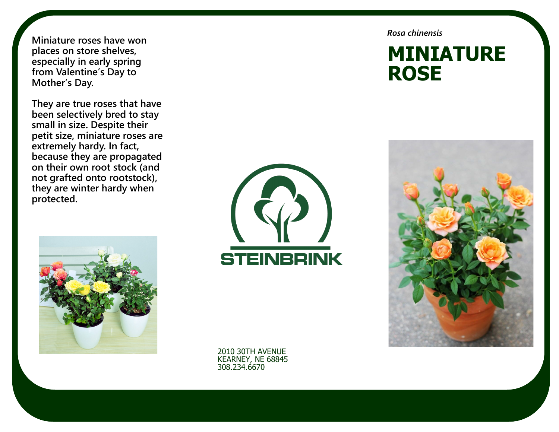**Miniature roses have won places on store shelves, especially in early spring from Valentine's Day to Mother's Day.** 

**They are true roses that have been selectively bred to stay small in size. Despite their petit size, miniature roses are extremely hardy. In fact, because they are propagated on their own root stock (and not grafted onto rootstock), they are winter hardy when protected.**





2010 30TH AVENUE KEARNEY, NE 68845 308.234.6670

*Rosa chinensis* 

# **MINIATURE ROSE**